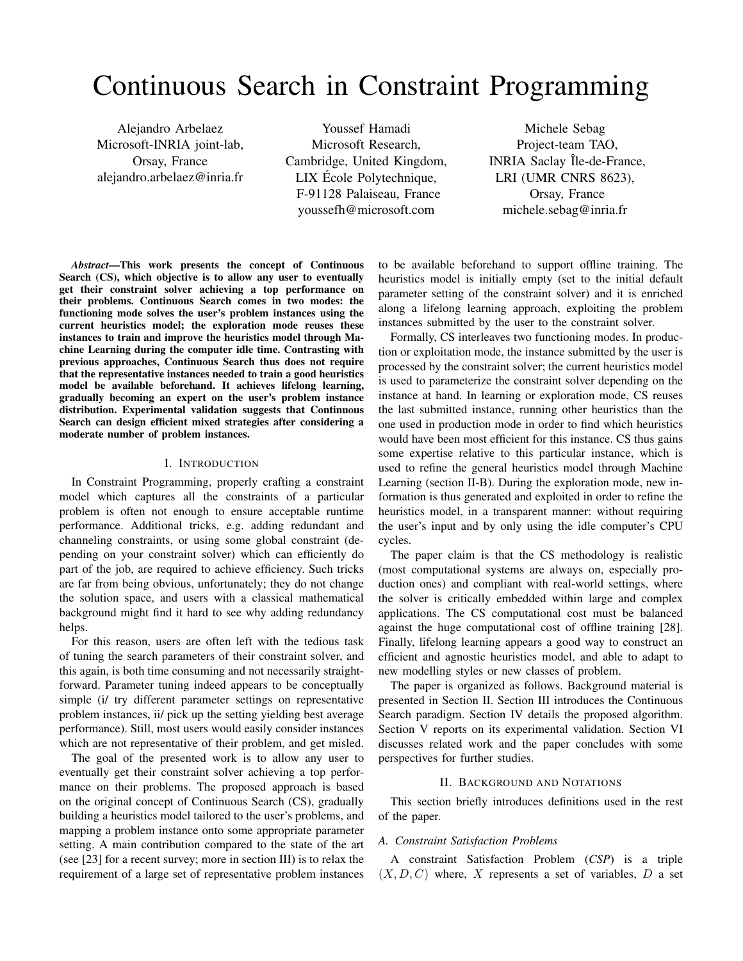# Continuous Search in Constraint Programming

Alejandro Arbelaez Microsoft-INRIA joint-lab, Orsay, France alejandro.arbelaez@inria.fr

Youssef Hamadi Microsoft Research, Cambridge, United Kingdom, LIX École Polytechnique, F-91128 Palaiseau, France youssefh@microsoft.com

Michele Sebag Project-team TAO, INRIA Saclay ˆIle-de-France, LRI (UMR CNRS 8623), Orsay, France michele.sebag@inria.fr

*Abstract*—This work presents the concept of Continuous Search (CS), which objective is to allow any user to eventually get their constraint solver achieving a top performance on their problems. Continuous Search comes in two modes: the functioning mode solves the user's problem instances using the current heuristics model; the exploration mode reuses these instances to train and improve the heuristics model through Machine Learning during the computer idle time. Contrasting with previous approaches, Continuous Search thus does not require that the representative instances needed to train a good heuristics model be available beforehand. It achieves lifelong learning, gradually becoming an expert on the user's problem instance distribution. Experimental validation suggests that Continuous Search can design efficient mixed strategies after considering a moderate number of problem instances.

#### I. INTRODUCTION

In Constraint Programming, properly crafting a constraint model which captures all the constraints of a particular problem is often not enough to ensure acceptable runtime performance. Additional tricks, e.g. adding redundant and channeling constraints, or using some global constraint (depending on your constraint solver) which can efficiently do part of the job, are required to achieve efficiency. Such tricks are far from being obvious, unfortunately; they do not change the solution space, and users with a classical mathematical background might find it hard to see why adding redundancy helps.

For this reason, users are often left with the tedious task of tuning the search parameters of their constraint solver, and this again, is both time consuming and not necessarily straightforward. Parameter tuning indeed appears to be conceptually simple (i/ try different parameter settings on representative problem instances, ii/ pick up the setting yielding best average performance). Still, most users would easily consider instances which are not representative of their problem, and get misled.

The goal of the presented work is to allow any user to eventually get their constraint solver achieving a top performance on their problems. The proposed approach is based on the original concept of Continuous Search (CS), gradually building a heuristics model tailored to the user's problems, and mapping a problem instance onto some appropriate parameter setting. A main contribution compared to the state of the art (see [23] for a recent survey; more in section III) is to relax the requirement of a large set of representative problem instances

to be available beforehand to support offline training. The heuristics model is initially empty (set to the initial default parameter setting of the constraint solver) and it is enriched along a lifelong learning approach, exploiting the problem instances submitted by the user to the constraint solver.

Formally, CS interleaves two functioning modes. In production or exploitation mode, the instance submitted by the user is processed by the constraint solver; the current heuristics model is used to parameterize the constraint solver depending on the instance at hand. In learning or exploration mode, CS reuses the last submitted instance, running other heuristics than the one used in production mode in order to find which heuristics would have been most efficient for this instance. CS thus gains some expertise relative to this particular instance, which is used to refine the general heuristics model through Machine Learning (section II-B). During the exploration mode, new information is thus generated and exploited in order to refine the heuristics model, in a transparent manner: without requiring the user's input and by only using the idle computer's CPU cycles.

The paper claim is that the CS methodology is realistic (most computational systems are always on, especially production ones) and compliant with real-world settings, where the solver is critically embedded within large and complex applications. The CS computational cost must be balanced against the huge computational cost of offline training [28]. Finally, lifelong learning appears a good way to construct an efficient and agnostic heuristics model, and able to adapt to new modelling styles or new classes of problem.

The paper is organized as follows. Background material is presented in Section II. Section III introduces the Continuous Search paradigm. Section IV details the proposed algorithm. Section V reports on its experimental validation. Section VI discusses related work and the paper concludes with some perspectives for further studies.

## II. BACKGROUND AND NOTATIONS

This section briefly introduces definitions used in the rest of the paper.

## *A. Constraint Satisfaction Problems*

A constraint Satisfaction Problem (*CSP*) is a triple  $(X, D, C)$  where, X represents a set of variables, D a set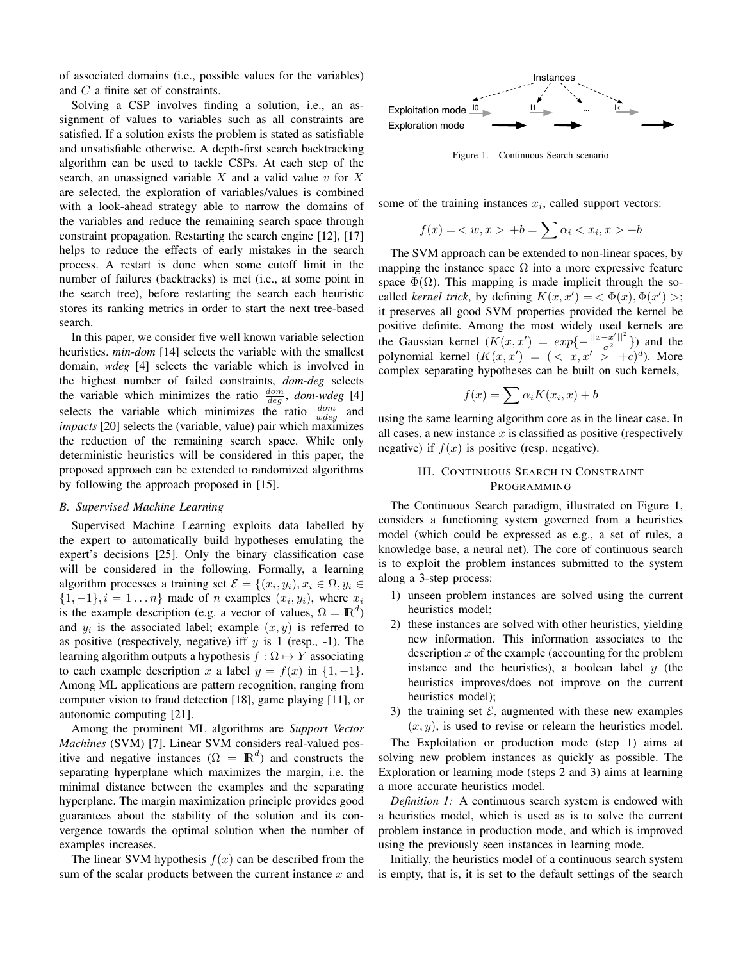of associated domains (i.e., possible values for the variables) and C a finite set of constraints.

Solving a CSP involves finding a solution, i.e., an assignment of values to variables such as all constraints are satisfied. If a solution exists the problem is stated as satisfiable and unsatisfiable otherwise. A depth-first search backtracking algorithm can be used to tackle CSPs. At each step of the search, an unassigned variable  $X$  and a valid value  $v$  for  $X$ are selected, the exploration of variables/values is combined with a look-ahead strategy able to narrow the domains of the variables and reduce the remaining search space through constraint propagation. Restarting the search engine [12], [17] helps to reduce the effects of early mistakes in the search process. A restart is done when some cutoff limit in the number of failures (backtracks) is met (i.e., at some point in the search tree), before restarting the search each heuristic stores its ranking metrics in order to start the next tree-based search.

In this paper, we consider five well known variable selection heuristics. *min-dom* [14] selects the variable with the smallest domain, *wdeg* [4] selects the variable which is involved in the highest number of failed constraints, *dom-deg* selects the variable which minimizes the ratio  $\frac{dom}{deg}$ , *dom-wdeg* [4] selects the variable which minimizes the ratio  $\frac{dom}{wdeg}$  and *impacts* [20] selects the (variable, value) pair which maximizes the reduction of the remaining search space. While only deterministic heuristics will be considered in this paper, the proposed approach can be extended to randomized algorithms by following the approach proposed in [15].

#### *B. Supervised Machine Learning*

Supervised Machine Learning exploits data labelled by the expert to automatically build hypotheses emulating the expert's decisions [25]. Only the binary classification case will be considered in the following. Formally, a learning algorithm processes a training set  $\mathcal{E} = \{(x_i, y_i), x_i \in \Omega, y_i \in$  $\{1, -1\}, i = 1 \dots n\}$  made of n examples  $(x_i, y_i)$ , where  $x_i$ is the example description (e.g. a vector of values,  $\Omega = \mathbb{R}^d$ ) and  $y_i$  is the associated label; example  $(x, y)$  is referred to as positive (respectively, negative) iff  $y$  is 1 (resp., -1). The learning algorithm outputs a hypothesis  $f : \Omega \mapsto Y$  associating to each example description x a label  $y = f(x)$  in  $\{1, -1\}$ . Among ML applications are pattern recognition, ranging from computer vision to fraud detection [18], game playing [11], or autonomic computing [21].

Among the prominent ML algorithms are *Support Vector Machines* (SVM) [7]. Linear SVM considers real-valued positive and negative instances ( $\Omega = \mathbb{R}^d$ ) and constructs the separating hyperplane which maximizes the margin, i.e. the minimal distance between the examples and the separating hyperplane. The margin maximization principle provides good guarantees about the stability of the solution and its convergence towards the optimal solution when the number of examples increases.

The linear SVM hypothesis  $f(x)$  can be described from the sum of the scalar products between the current instance  $x$  and



Figure 1. Continuous Search scenario

some of the training instances  $x_i$ , called support vectors:

$$
f(x) = \langle w, x \rangle + b = \sum \alpha_i \langle x_i, x \rangle + b
$$

The SVM approach can be extended to non-linear spaces, by mapping the instance space  $\Omega$  into a more expressive feature space  $\Phi(\Omega)$ . This mapping is made implicit through the socalled *kernel trick*, by defining  $K(x, x') = \langle \Phi(x), \Phi(x') \rangle$ ; it preserves all good SVM properties provided the kernel be positive definite. Among the most widely used kernels are the Gaussian kernel  $(K(x, x')) = exp{-\frac{||x-x'||^2}{\sigma^2}}$ ) and the polynomial kernel  $(K(x, x')) = (x, x' > +c)^d$ ). More complex separating hypotheses can be built on such kernels,

$$
f(x) = \sum \alpha_i K(x_i, x) + b
$$

using the same learning algorithm core as in the linear case. In all cases, a new instance  $x$  is classified as positive (respectively negative) if  $f(x)$  is positive (resp. negative).

# III. CONTINUOUS SEARCH IN CONSTRAINT PROGRAMMING

The Continuous Search paradigm, illustrated on Figure 1, considers a functioning system governed from a heuristics model (which could be expressed as e.g., a set of rules, a knowledge base, a neural net). The core of continuous search is to exploit the problem instances submitted to the system along a 3-step process:

- 1) unseen problem instances are solved using the current heuristics model;
- 2) these instances are solved with other heuristics, yielding new information. This information associates to the description  $x$  of the example (accounting for the problem instance and the heuristics), a boolean label  $y$  (the heuristics improves/does not improve on the current heuristics model);
- 3) the training set  $\mathcal{E}$ , augmented with these new examples  $(x, y)$ , is used to revise or relearn the heuristics model.

The Exploitation or production mode (step 1) aims at solving new problem instances as quickly as possible. The Exploration or learning mode (steps 2 and 3) aims at learning a more accurate heuristics model.

*Definition 1:* A continuous search system is endowed with a heuristics model, which is used as is to solve the current problem instance in production mode, and which is improved using the previously seen instances in learning mode.

Initially, the heuristics model of a continuous search system is empty, that is, it is set to the default settings of the search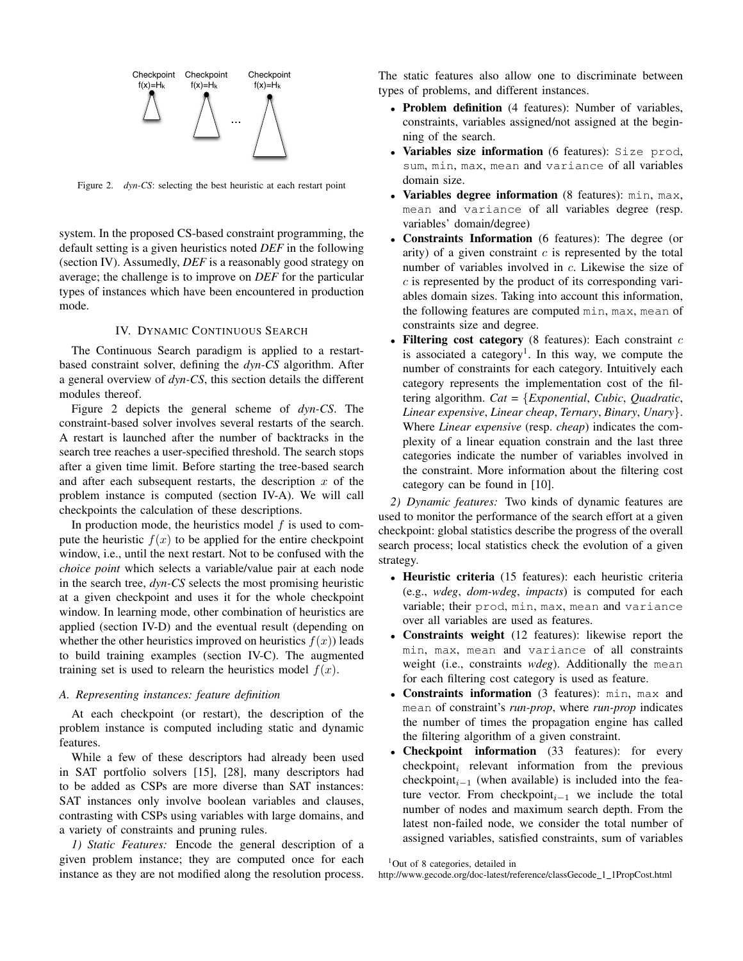

Figure 2. *dyn-CS*: selecting the best heuristic at each restart point

system. In the proposed CS-based constraint programming, the default setting is a given heuristics noted *DEF* in the following (section IV). Assumedly, *DEF* is a reasonably good strategy on average; the challenge is to improve on *DEF* for the particular types of instances which have been encountered in production mode.

# IV. DYNAMIC CONTINUOUS SEARCH

The Continuous Search paradigm is applied to a restartbased constraint solver, defining the *dyn-CS* algorithm. After a general overview of *dyn-CS*, this section details the different modules thereof.

Figure 2 depicts the general scheme of *dyn-CS*. The constraint-based solver involves several restarts of the search. A restart is launched after the number of backtracks in the search tree reaches a user-specified threshold. The search stops after a given time limit. Before starting the tree-based search and after each subsequent restarts, the description  $x$  of the problem instance is computed (section IV-A). We will call checkpoints the calculation of these descriptions.

In production mode, the heuristics model  $f$  is used to compute the heuristic  $f(x)$  to be applied for the entire checkpoint window, i.e., until the next restart. Not to be confused with the *choice point* which selects a variable/value pair at each node in the search tree, *dyn-CS* selects the most promising heuristic at a given checkpoint and uses it for the whole checkpoint window. In learning mode, other combination of heuristics are applied (section IV-D) and the eventual result (depending on whether the other heuristics improved on heuristics  $f(x)$ ) leads to build training examples (section IV-C). The augmented training set is used to relearn the heuristics model  $f(x)$ .

# *A. Representing instances: feature definition*

At each checkpoint (or restart), the description of the problem instance is computed including static and dynamic features.

While a few of these descriptors had already been used in SAT portfolio solvers [15], [28], many descriptors had to be added as CSPs are more diverse than SAT instances: SAT instances only involve boolean variables and clauses, contrasting with CSPs using variables with large domains, and a variety of constraints and pruning rules.

*1) Static Features:* Encode the general description of a given problem instance; they are computed once for each instance as they are not modified along the resolution process.

The static features also allow one to discriminate between types of problems, and different instances.

- Problem definition (4 features): Number of variables, constraints, variables assigned/not assigned at the beginning of the search.
- Variables size information (6 features): Size prod, sum, min, max, mean and variance of all variables domain size.
- Variables degree information (8 features): min, max, mean and variance of all variables degree (resp. variables' domain/degree)
- Constraints Information (6 features): The degree (or arity) of a given constraint  $c$  is represented by the total number of variables involved in c. Likewise the size of  $c$  is represented by the product of its corresponding variables domain sizes. Taking into account this information, the following features are computed min, max, mean of constraints size and degree.
- Filtering cost category  $(8 \text{ features})$ : Each constraint  $c$ is associated a category<sup>1</sup>. In this way, we compute the number of constraints for each category. Intuitively each category represents the implementation cost of the filtering algorithm. *Cat* = {*Exponential*, *Cubic*, *Quadratic*, *Linear expensive*, *Linear cheap*, *Ternary*, *Binary*, *Unary*}. Where *Linear expensive* (resp. *cheap*) indicates the complexity of a linear equation constrain and the last three categories indicate the number of variables involved in the constraint. More information about the filtering cost category can be found in [10].

*2) Dynamic features:* Two kinds of dynamic features are used to monitor the performance of the search effort at a given checkpoint: global statistics describe the progress of the overall search process; local statistics check the evolution of a given strategy.

- Heuristic criteria (15 features): each heuristic criteria (e.g., *wdeg*, *dom-wdeg*, *impacts*) is computed for each variable; their prod, min, max, mean and variance over all variables are used as features.
- Constraints weight (12 features): likewise report the min, max, mean and variance of all constraints weight (i.e., constraints *wdeg*). Additionally the mean for each filtering cost category is used as feature.
- Constraints information (3 features): min, max and mean of constraint's *run-prop*, where *run-prop* indicates the number of times the propagation engine has called the filtering algorithm of a given constraint.
- Checkpoint information (33 features): for every  $checkpoint_i$  relevant information from the previous checkpoint<sub>i−1</sub> (when available) is included into the feature vector. From checkpoint<sub>i-1</sub> we include the total number of nodes and maximum search depth. From the latest non-failed node, we consider the total number of assigned variables, satisfied constraints, sum of variables

```
<sup>1</sup>Out of 8 categories, detailed in
```
http://www.gecode.org/doc-latest/reference/classGecode\_1\_1PropCost.html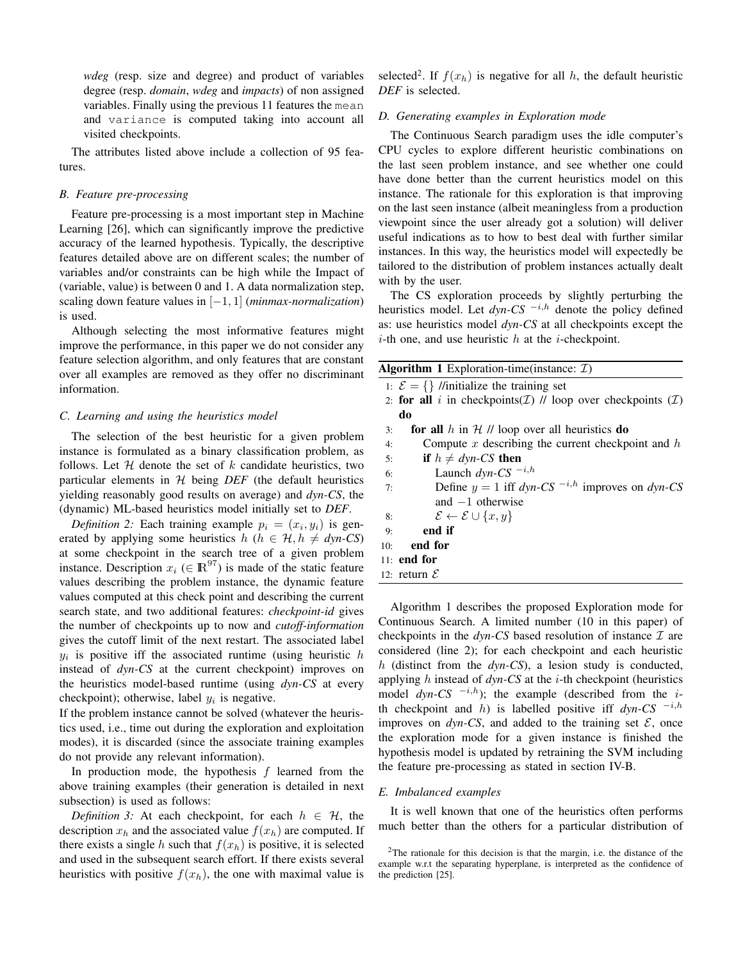*wdeg* (resp. size and degree) and product of variables degree (resp. *domain*, *wdeg* and *impacts*) of non assigned variables. Finally using the previous 11 features the mean and variance is computed taking into account all visited checkpoints.

The attributes listed above include a collection of 95 features.

## *B. Feature pre-processing*

Feature pre-processing is a most important step in Machine Learning [26], which can significantly improve the predictive accuracy of the learned hypothesis. Typically, the descriptive features detailed above are on different scales; the number of variables and/or constraints can be high while the Impact of (variable, value) is between 0 and 1. A data normalization step, scaling down feature values in [−1, 1] (*minmax-normalization*) is used.

Although selecting the most informative features might improve the performance, in this paper we do not consider any feature selection algorithm, and only features that are constant over all examples are removed as they offer no discriminant information.

#### *C. Learning and using the heuristics model*

The selection of the best heuristic for a given problem instance is formulated as a binary classification problem, as follows. Let  $H$  denote the set of  $k$  candidate heuristics, two particular elements in  $H$  being *DEF* (the default heuristics yielding reasonably good results on average) and *dyn-CS*, the (dynamic) ML-based heuristics model initially set to *DEF*.

*Definition 2:* Each training example  $p_i = (x_i, y_i)$  is generated by applying some heuristics  $h$  ( $h \in \mathcal{H}, h \neq dyn\text{-}CS$ ) at some checkpoint in the search tree of a given problem instance. Description  $x_i \in \mathbb{R}^{97}$  is made of the static feature values describing the problem instance, the dynamic feature values computed at this check point and describing the current search state, and two additional features: *checkpoint-id* gives the number of checkpoints up to now and *cutoff-information* gives the cutoff limit of the next restart. The associated label  $y_i$  is positive iff the associated runtime (using heuristic h instead of *dyn-CS* at the current checkpoint) improves on the heuristics model-based runtime (using *dyn-CS* at every checkpoint); otherwise, label  $y_i$  is negative.

If the problem instance cannot be solved (whatever the heuristics used, i.e., time out during the exploration and exploitation modes), it is discarded (since the associate training examples do not provide any relevant information).

In production mode, the hypothesis  $f$  learned from the above training examples (their generation is detailed in next subsection) is used as follows:

*Definition 3:* At each checkpoint, for each  $h \in \mathcal{H}$ , the description  $x_h$  and the associated value  $f(x_h)$  are computed. If there exists a single h such that  $f(x_h)$  is positive, it is selected and used in the subsequent search effort. If there exists several heuristics with positive  $f(x_h)$ , the one with maximal value is selected<sup>2</sup>. If  $f(x_h)$  is negative for all h, the default heuristic *DEF* is selected.

#### *D. Generating examples in Exploration mode*

The Continuous Search paradigm uses the idle computer's CPU cycles to explore different heuristic combinations on the last seen problem instance, and see whether one could have done better than the current heuristics model on this instance. The rationale for this exploration is that improving on the last seen instance (albeit meaningless from a production viewpoint since the user already got a solution) will deliver useful indications as to how to best deal with further similar instances. In this way, the heuristics model will expectedly be tailored to the distribution of problem instances actually dealt with by the user.

The CS exploration proceeds by slightly perturbing the heuristics model. Let  $\frac{dyn}{CS}$  <sup>-i,h</sup> denote the policy defined as: use heuristics model *dyn-CS* at all checkpoints except the  $i$ -th one, and use heuristic  $h$  at the  $i$ -checkpoint.

| <b>Algorithm 1</b> Exploration-time(instance: $\mathcal{I}$ )                          |
|----------------------------------------------------------------------------------------|
| 1: $\mathcal{E} = \{\}\$ //initialize the training set                                 |
| 2: for all i in checkpoints( $I$ ) // loop over checkpoints ( $I$ )                    |
| do                                                                                     |
| for all $h$ in $H$ // loop over all heuristics <b>do</b><br>3:                         |
| Compute x describing the current checkpoint and $h$<br>4:                              |
| if $h \neq dyn$ -CS then<br>5:                                                         |
| Launch $dyn$ -CS <sup>-i,h</sup><br>6:                                                 |
| Define $y = 1$ iff $dyn$ -CS <sup><math>-i, h</math></sup> improves on $dyn$ -CS<br>7: |
| and $-1$ otherwise                                                                     |
| $\mathcal{E} \leftarrow \mathcal{E} \cup \{x, y\}$<br>8:                               |
| end if<br>9:                                                                           |
| end for<br>10:                                                                         |
| 11: end for                                                                            |
| 12: return $\mathcal E$                                                                |
|                                                                                        |

Algorithm 1 describes the proposed Exploration mode for Continuous Search. A limited number (10 in this paper) of checkpoints in the  $\frac{dyn\text{-}CS}{}$  based resolution of instance  $\mathcal I$  are considered (line 2); for each checkpoint and each heuristic h (distinct from the *dyn-CS*), a lesion study is conducted, applying h instead of *dyn-CS* at the i-th checkpoint (heuristics model  $dyn$ - $CS$ <sup>-i,h</sup>); the example (described from the *i*th checkpoint and h) is labelled positive iff  $dyn$ - $CS$ <sup>-i,h</sup> improves on  $\frac{dyn}{CS}$ , and added to the training set  $\mathcal{E}$ , once the exploration mode for a given instance is finished the hypothesis model is updated by retraining the SVM including the feature pre-processing as stated in section IV-B.

# *E. Imbalanced examples*

It is well known that one of the heuristics often performs much better than the others for a particular distribution of

<sup>2</sup>The rationale for this decision is that the margin, i.e. the distance of the example w.r.t the separating hyperplane, is interpreted as the confidence of the prediction [25].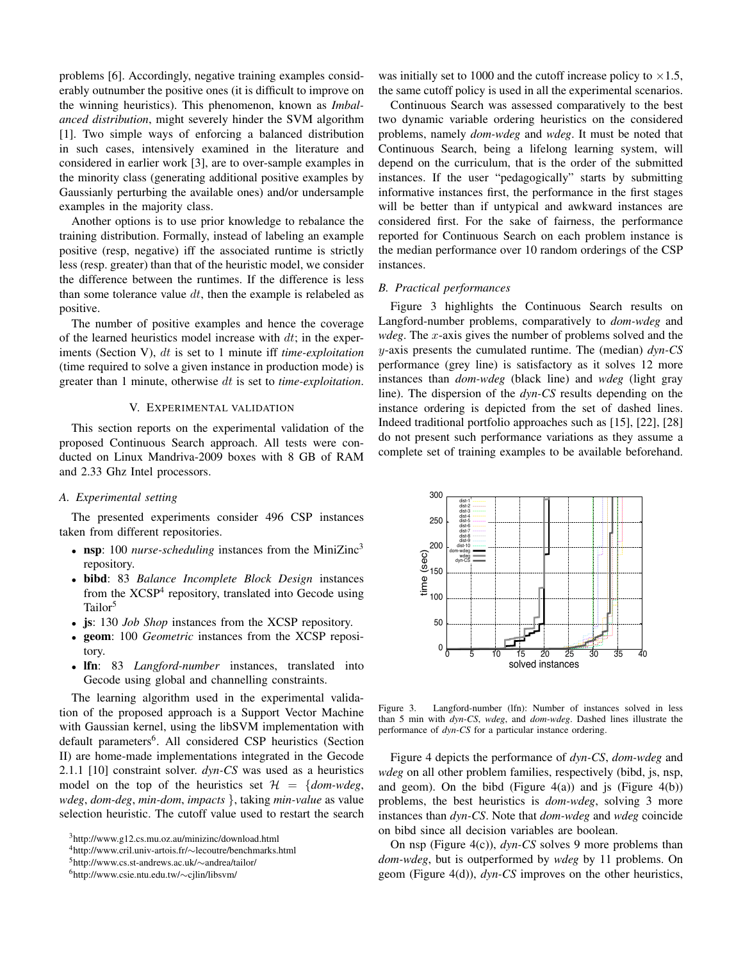problems [6]. Accordingly, negative training examples considerably outnumber the positive ones (it is difficult to improve on the winning heuristics). This phenomenon, known as *Imbalanced distribution*, might severely hinder the SVM algorithm [1]. Two simple ways of enforcing a balanced distribution in such cases, intensively examined in the literature and considered in earlier work [3], are to over-sample examples in the minority class (generating additional positive examples by Gaussianly perturbing the available ones) and/or undersample examples in the majority class.

Another options is to use prior knowledge to rebalance the training distribution. Formally, instead of labeling an example positive (resp, negative) iff the associated runtime is strictly less (resp. greater) than that of the heuristic model, we consider the difference between the runtimes. If the difference is less than some tolerance value  $dt$ , then the example is relabeled as positive.

The number of positive examples and hence the coverage of the learned heuristics model increase with  $dt$ ; in the experiments (Section V), dt is set to 1 minute iff *time-exploitation* (time required to solve a given instance in production mode) is greater than 1 minute, otherwise dt is set to *time-exploitation*.

## V. EXPERIMENTAL VALIDATION

This section reports on the experimental validation of the proposed Continuous Search approach. All tests were conducted on Linux Mandriva-2009 boxes with 8 GB of RAM and 2.33 Ghz Intel processors.

### *A. Experimental setting*

The presented experiments consider 496 CSP instances taken from different repositories.

- nsp: 100 *nurse-scheduling* instances from the MiniZinc<sup>3</sup> repository.
- bibd: 83 *Balance Incomplete Block Design* instances from the XCSP4 repository, translated into Gecode using Tailor<sup>5</sup>
- **js:** 130 *Job Shop* instances from the XCSP repository.
- geom: 100 *Geometric* instances from the XCSP repository.
- lfn: 83 *Langford-number* instances, translated into Gecode using global and channelling constraints.

The learning algorithm used in the experimental validation of the proposed approach is a Support Vector Machine with Gaussian kernel, using the libSVM implementation with default parameters<sup>6</sup>. All considered CSP heuristics (Section II) are home-made implementations integrated in the Gecode 2.1.1 [10] constraint solver. *dyn-CS* was used as a heuristics model on the top of the heuristics set  $\mathcal{H} = \{dom{-}wdeg,$ *wdeg*, *dom-deg*, *min-dom*, *impacts* }, taking *min-value* as value selection heuristic. The cutoff value used to restart the search

was initially set to 1000 and the cutoff increase policy to  $\times 1.5$ , the same cutoff policy is used in all the experimental scenarios.

Continuous Search was assessed comparatively to the best two dynamic variable ordering heuristics on the considered problems, namely *dom-wdeg* and *wdeg*. It must be noted that Continuous Search, being a lifelong learning system, will depend on the curriculum, that is the order of the submitted instances. If the user "pedagogically" starts by submitting informative instances first, the performance in the first stages will be better than if untypical and awkward instances are considered first. For the sake of fairness, the performance reported for Continuous Search on each problem instance is the median performance over 10 random orderings of the CSP instances.

# *B. Practical performances*

Figure 3 highlights the Continuous Search results on Langford-number problems, comparatively to *dom-wdeg* and *wdeg*. The x-axis gives the number of problems solved and the y-axis presents the cumulated runtime. The (median) *dyn-CS* performance (grey line) is satisfactory as it solves 12 more instances than *dom-wdeg* (black line) and *wdeg* (light gray line). The dispersion of the *dyn-CS* results depending on the instance ordering is depicted from the set of dashed lines. Indeed traditional portfolio approaches such as [15], [22], [28] do not present such performance variations as they assume a complete set of training examples to be available beforehand.



Figure 3. Langford-number (lfn): Number of instances solved in less than 5 min with *dyn-CS*, *wdeg*, and *dom-wdeg*. Dashed lines illustrate the performance of *dyn-CS* for a particular instance ordering.

Figure 4 depicts the performance of *dyn-CS*, *dom-wdeg* and *wdeg* on all other problem families, respectively (bibd, js, nsp, and geom). On the bibd (Figure  $4(a)$ ) and js (Figure  $4(b)$ ) problems, the best heuristics is *dom-wdeg*, solving 3 more instances than *dyn-CS*. Note that *dom-wdeg* and *wdeg* coincide on bibd since all decision variables are boolean.

On nsp (Figure 4(c)), *dyn-CS* solves 9 more problems than *dom-wdeg*, but is outperformed by *wdeg* by 11 problems. On geom (Figure 4(d)), *dyn-CS* improves on the other heuristics,

<sup>3</sup>http://www.g12.cs.mu.oz.au/minizinc/download.html

<sup>&</sup>lt;sup>4</sup>http://www.cril.univ-artois.fr/∼lecoutre/benchmarks.html<br><sup>5</sup>http://www.cs.st-andrews.ac.uk/∼andrea/tailor/<br><sup>6</sup>http://www.csie.ntu.edu.tw/∼cjlin/libsvm/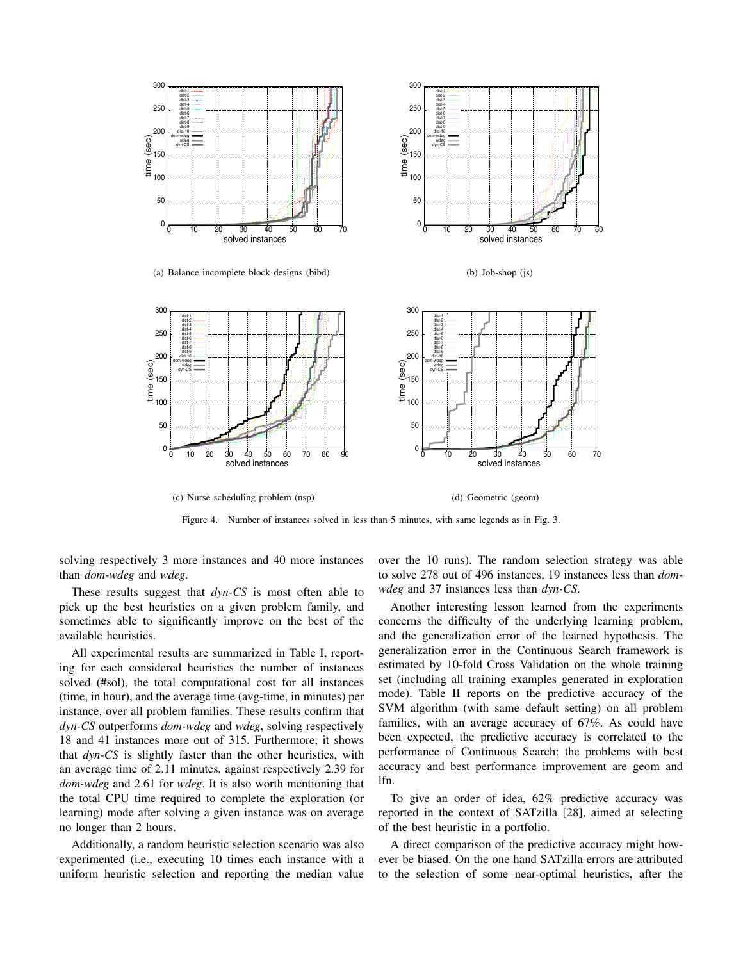

(a) Balance incomplete block designs (bibd)



(b) Job-shop (js)



(c) Nurse scheduling problem (nsp) (d) Geometric (geom)

Figure 4. Number of instances solved in less than 5 minutes, with same legends as in Fig. 3.

solving respectively 3 more instances and 40 more instances than *dom-wdeg* and *wdeg*.

These results suggest that *dyn-CS* is most often able to pick up the best heuristics on a given problem family, and sometimes able to significantly improve on the best of the available heuristics.

All experimental results are summarized in Table I, reporting for each considered heuristics the number of instances solved (#sol), the total computational cost for all instances (time, in hour), and the average time (avg-time, in minutes) per instance, over all problem families. These results confirm that *dyn-CS* outperforms *dom-wdeg* and *wdeg*, solving respectively 18 and 41 instances more out of 315. Furthermore, it shows that *dyn-CS* is slightly faster than the other heuristics, with an average time of 2.11 minutes, against respectively 2.39 for *dom-wdeg* and 2.61 for *wdeg*. It is also worth mentioning that the total CPU time required to complete the exploration (or learning) mode after solving a given instance was on average no longer than 2 hours.

Additionally, a random heuristic selection scenario was also experimented (i.e., executing 10 times each instance with a uniform heuristic selection and reporting the median value over the 10 runs). The random selection strategy was able to solve 278 out of 496 instances, 19 instances less than *domwdeg* and 37 instances less than *dyn-CS*.

Another interesting lesson learned from the experiments concerns the difficulty of the underlying learning problem, and the generalization error of the learned hypothesis. The generalization error in the Continuous Search framework is estimated by 10-fold Cross Validation on the whole training set (including all training examples generated in exploration mode). Table II reports on the predictive accuracy of the SVM algorithm (with same default setting) on all problem families, with an average accuracy of 67%. As could have been expected, the predictive accuracy is correlated to the performance of Continuous Search: the problems with best accuracy and best performance improvement are geom and lfn.

To give an order of idea, 62% predictive accuracy was reported in the context of SATzilla [28], aimed at selecting of the best heuristic in a portfolio.

A direct comparison of the predictive accuracy might however be biased. On the one hand SATzilla errors are attributed to the selection of some near-optimal heuristics, after the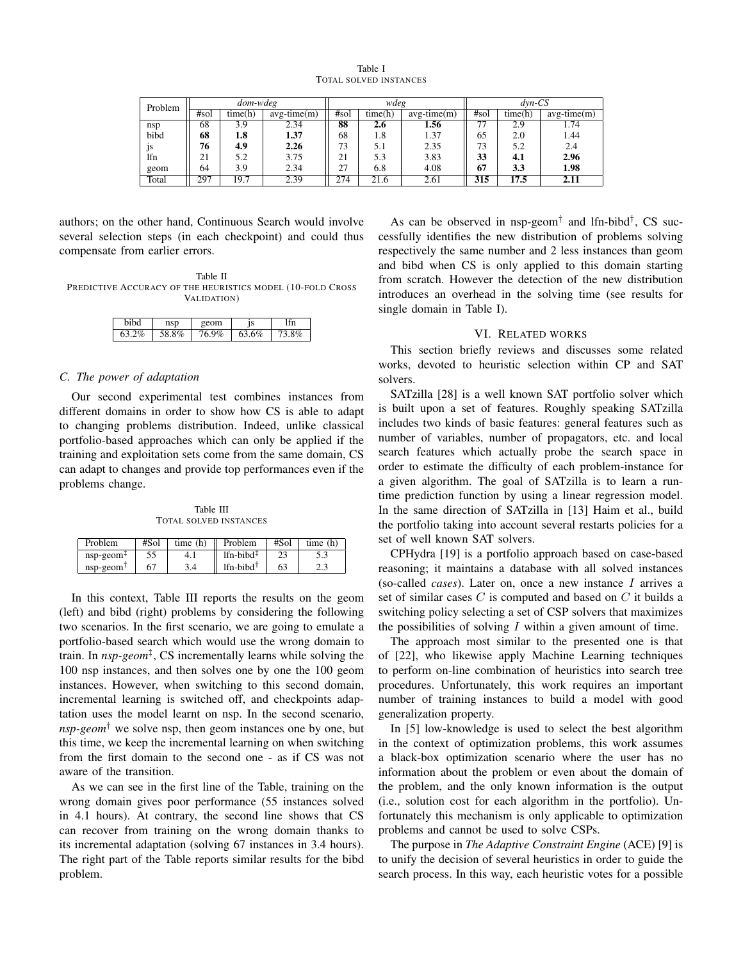Table I TOTAL SOLVED INSTANCES

| Problem | dom-wdeg       |         |               | wdeg            |         |               | $dvn$ - $CS$             |         |               |
|---------|----------------|---------|---------------|-----------------|---------|---------------|--------------------------|---------|---------------|
|         | #sol           | time(h) | $avg-time(m)$ | #sol            | time(h) | $ave-time(m)$ | #sol                     | time(h) | $avg-time(m)$ |
| nsp     | 68             | 3.9     | 2.34          | 88              | 2.6     | 1.56          | $\overline{\phantom{a}}$ | 2.9     | 1.74          |
| bibd    | 68             | 1.8     | 1.37          | 68              | 1.8     | 1.37          | 65                       | 2.0     | 1.44          |
| 1S      | 76             | 4.9     | 2.26          | $\sim$<br>3     | 5.1     | 2.35          | 73                       | 5.2     | 2.4           |
| lfn     | $\gamma$<br>∠∎ | 5.2     | 3.75          | $^{\sim}$<br>∠∎ | 5.3     | 3.83          | 33                       | 4.1     | 2.96          |
| geom    | -64            | 3.9     | 2.34          | $\sim$          | 6.8     | 4.08          | 67                       | 3.3     | 1.98          |
| Total   | 297            | 19.7    | 2.39          | 274             | 21.6    | 2.61          | 315                      | 17.5    | 2.11          |

authors; on the other hand, Continuous Search would involve several selection steps (in each checkpoint) and could thus compensate from earlier errors.

Table II PREDICTIVE ACCURACY OF THE HEURISTICS MODEL (10-FOLD CROSS VALIDATION)

|        |    | 1 C    | ш |
|--------|----|--------|---|
| $\sim$ | v. | $\sim$ | ٠ |

### *C. The power of adaptation*

Our second experimental test combines instances from different domains in order to show how CS is able to adapt to changing problems distribution. Indeed, unlike classical portfolio-based approaches which can only be applied if the training and exploitation sets come from the same domain, CS can adapt to changes and provide top performances even if the problems change.

Table III TOTAL SOLVED INSTANCES

| Problem      | #Sol | time(h) | Problem                | #Sol | time(h) |
|--------------|------|---------|------------------------|------|---------|
| $nsp-geom^+$ |      | 4.1     | $1$ fn-bibd $\ddagger$ |      | 5.3     |
| $nsp-geom$   | 67   | 3.4     | $1$ fn-bibd $\uparrow$ | 63   | 2.3     |

In this context, Table III reports the results on the geom (left) and bibd (right) problems by considering the following two scenarios. In the first scenario, we are going to emulate a portfolio-based search which would use the wrong domain to train. In *nsp-geom*‡, CS incrementally learns while solving the 100 nsp instances, and then solves one by one the 100 geom instances. However, when switching to this second domain, incremental learning is switched off, and checkpoints adaptation uses the model learnt on nsp. In the second scenario, *nsp-geom*† we solve nsp, then geom instances one by one, but this time, we keep the incremental learning on when switching from the first domain to the second one - as if CS was not aware of the transition.

As we can see in the first line of the Table, training on the wrong domain gives poor performance (55 instances solved in 4.1 hours). At contrary, the second line shows that CS can recover from training on the wrong domain thanks to its incremental adaptation (solving 67 instances in 3.4 hours). The right part of the Table reports similar results for the bibd problem.

As can be observed in nsp-geom<sup>†</sup> and lfn-bibd<sup>†</sup>, CS successfully identifies the new distribution of problems solving respectively the same number and 2 less instances than geom and bibd when CS is only applied to this domain starting from scratch. However the detection of the new distribution introduces an overhead in the solving time (see results for single domain in Table I).

# VI. RELATED WORKS

This section briefly reviews and discusses some related works, devoted to heuristic selection within CP and SAT solvers.

SATzilla [28] is a well known SAT portfolio solver which is built upon a set of features. Roughly speaking SATzilla includes two kinds of basic features: general features such as number of variables, number of propagators, etc. and local search features which actually probe the search space in order to estimate the difficulty of each problem-instance for a given algorithm. The goal of SATzilla is to learn a runtime prediction function by using a linear regression model. In the same direction of SATzilla in [13] Haim et al., build the portfolio taking into account several restarts policies for a set of well known SAT solvers.

CPHydra [19] is a portfolio approach based on case-based reasoning; it maintains a database with all solved instances (so-called *cases*). Later on, once a new instance I arrives a set of similar cases  $C$  is computed and based on  $C$  it builds a switching policy selecting a set of CSP solvers that maximizes the possibilities of solving  $I$  within a given amount of time.

The approach most similar to the presented one is that of [22], who likewise apply Machine Learning techniques to perform on-line combination of heuristics into search tree procedures. Unfortunately, this work requires an important number of training instances to build a model with good generalization property.

In [5] low-knowledge is used to select the best algorithm in the context of optimization problems, this work assumes a black-box optimization scenario where the user has no information about the problem or even about the domain of the problem, and the only known information is the output (i.e., solution cost for each algorithm in the portfolio). Unfortunately this mechanism is only applicable to optimization problems and cannot be used to solve CSPs.

The purpose in *The Adaptive Constraint Engine* (ACE) [9] is to unify the decision of several heuristics in order to guide the search process. In this way, each heuristic votes for a possible